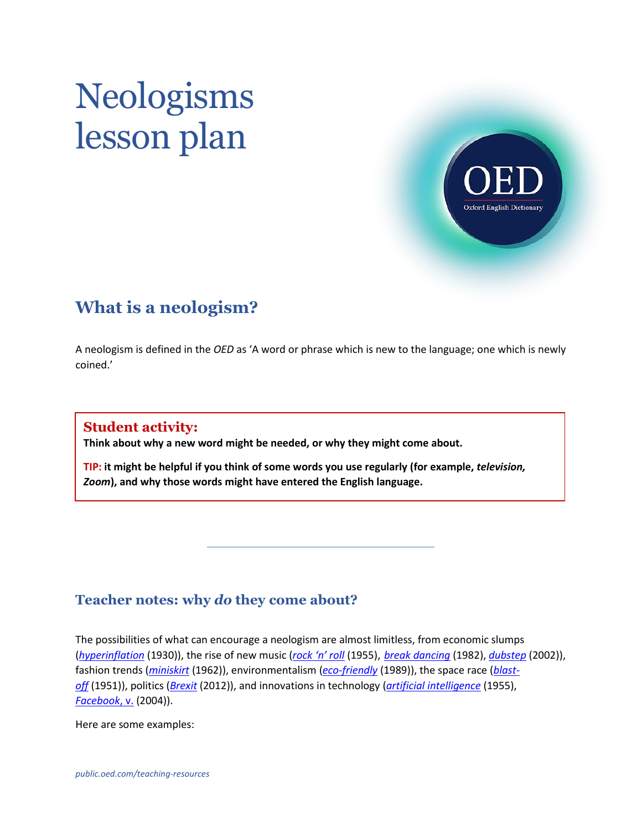# Neologisms lesson plan



# **What is a neologism?**

A neologism is defined in the *OED* as 'A word or phrase which is new to the language; one which is newly coined.'

### **Student activity:**

**Think about why a new word might be needed, or why they might come about.** 

**TIP: it might be helpful if you think of some words you use regularly (for example,** *television, Zoom***), and why those words might have entered the English language.**

# **Teacher notes: why** *do* **they come about?**

The possibilities of what can encourage a neologism are almost limitless, from economic slumps (*[hyperinflation](http://www.oed.com/view/Entry/90273#eid1021970)* (1930)), the rise of new music (*[rock 'n' roll](http://www.oed.com/view/Entry/166708#eid25155099)* (1955), *[break dancing](http://www.oed.com/view/Entry/22916#eid14544547)* (1982), *[dubstep](https://www.oed.com/view/Entry/285686)* (2002)), fashion trends (*[miniskirt](http://www.oed.com/view/Entry/234062)* (1962)), environmentalism (*[eco-friendly](http://www.oed.com/view/Entry/242672)* (1989)), the space race (*[blast](http://www.oed.com/view/Entry/19956)[off](http://www.oed.com/view/Entry/19956)* (1951)), politics (*[Brexit](https://www.oed.com/view/Entry/54763375)* (2012)), and innovations in technology (*[artificial intelligence](http://www.oed.com/view/Entry/271625)* (1955), *[Facebook](https://www.oed.com/view/Entry/67218837#eid1256930760)*, v. (2004)).

Here are some examples: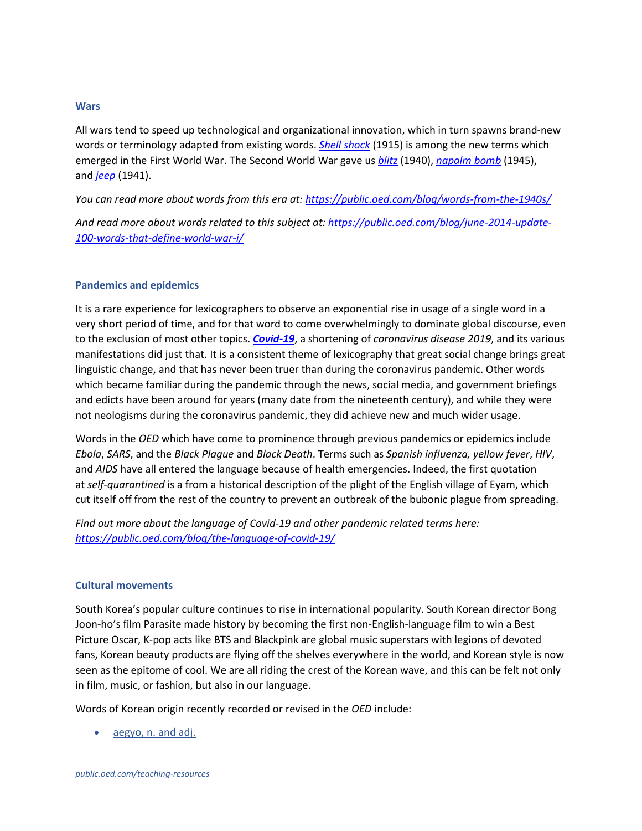#### **Wars**

All wars tend to speed up technological and organizational innovation, which in turn spawns brand-new words or terminology adapted from existing words. *[Shell shock](https://www.oed.com/view/Entry/413064)* (1915) is among the new terms which emerged in the First World War. The Second World War gave us *[blitz](http://www.oed.com/view/Entry/20317)* (1940), *[napalm bomb](http://www.oed.com/view/Entry/125006#eid35316954)* (1945), and *[jeep](http://www.oed.com/view/Entry/100971)* (1941).

*You can read more about words from this era at:<https://public.oed.com/blog/words-from-the-1940s/>*

*And read more about words related to this subject at: [https://public.oed.com/blog/june-2014-update-](https://public.oed.com/blog/june-2014-update-100-words-that-define-world-war-i/)[100-words-that-define-world-war-i/](https://public.oed.com/blog/june-2014-update-100-words-that-define-world-war-i/)*

#### **Pandemics and epidemics**

It is a rare experience for lexicographers to observe an exponential rise in usage of a single word in a very short period of time, and for that word to come overwhelmingly to dominate global discourse, even to the exclusion of most other topics. *[Covid-19](https://oed.com/view/Entry/88575495)*, a shortening of *coronavirus disease 2019*, and its various manifestations did just that. It is a consistent theme of lexicography that great social change brings great linguistic change, and that has never been truer than during the coronavirus pandemic. Other words which became familiar during the pandemic through the news, social media, and government briefings and edicts have been around for years (many date from the nineteenth century), and while they were not neologisms during the coronavirus pandemic, they did achieve new and much wider usage.

Words in the *OED* which have come to prominence through previous pandemics or epidemics include *Ebola*, *SARS*, and the *Black Plague* and *Black Death*. Terms such as *Spanish influenza, yellow fever*, *HIV*, and *AIDS* have all entered the language because of health emergencies. Indeed, the first quotation at *self-quarantined* is a from a historical description of the plight of the English village of Eyam, which cut itself off from the rest of the country to prevent an outbreak of the bubonic plague from spreading.

*Find out more about the language of Covid-19 and other pandemic related terms here: <https://public.oed.com/blog/the-language-of-covid-19/>*

#### **Cultural movements**

South Korea's popular culture continues to rise in international popularity. South Korean director Bong Joon-ho's film Parasite made history by becoming the first non-English-language film to win a Best Picture Oscar, K-pop acts like BTS and Blackpink are global music superstars with legions of devoted fans, Korean beauty products are flying off the shelves everywhere in the world, and Korean style is now seen as the epitome of cool. We are all riding the crest of the Korean wave, and this can be felt not only in film, music, or fashion, but also in our language.

Words of Korean origin recently recorded or revised in the *OED* include:

• [aegyo, n. and adj.](https://www.oed.com/view/Entry/92467156)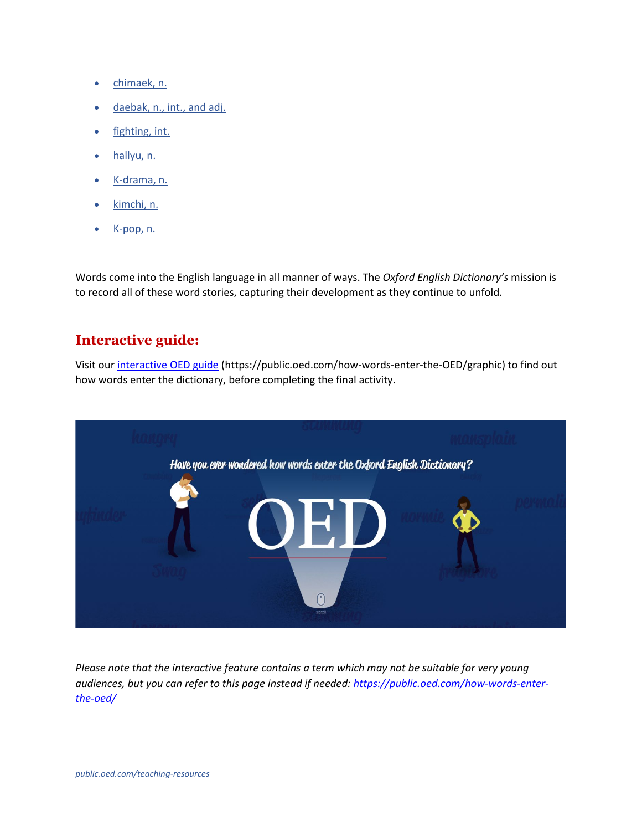- [chimaek, n.](https://www.oed.com/view/Entry/92511787)
- [daebak, n., int., and adj.](https://www.oed.com/view/Entry/92518933)
- [fighting, int.](https://www.oed.com/view/Entry/92516458)
- [hallyu, n.](https://www.oed.com/view/Entry/92458492)
- [K-drama, n.](https://www.oed.com/view/Entry/92579012)
- [kimchi, n.](https://www.oed.com/view/Entry/103422)
- [K-pop, n.](https://www.oed.com/view/Entry/92768206)

Words come into the English language in all manner of ways. The *Oxford English Dictionary's* mission is to record all of these word stories, capturing their development as they continue to unfold.

## **Interactive guide:**

Visit ou[r interactive OED guide](https://public.oed.com/how-words-enter-the-OED/graphic/) (https://public.oed.com/how-words-enter-the-OED/graphic) to find out how words enter the dictionary, before completing the final activity.



*Please note that the interactive feature contains a term which may not be suitable for very young audiences, but you can refer to this page instead if needed: [https://public.oed.com/how-words-enter](https://public.oed.com/how-words-enter-the-oed/)[the-oed/](https://public.oed.com/how-words-enter-the-oed/)*